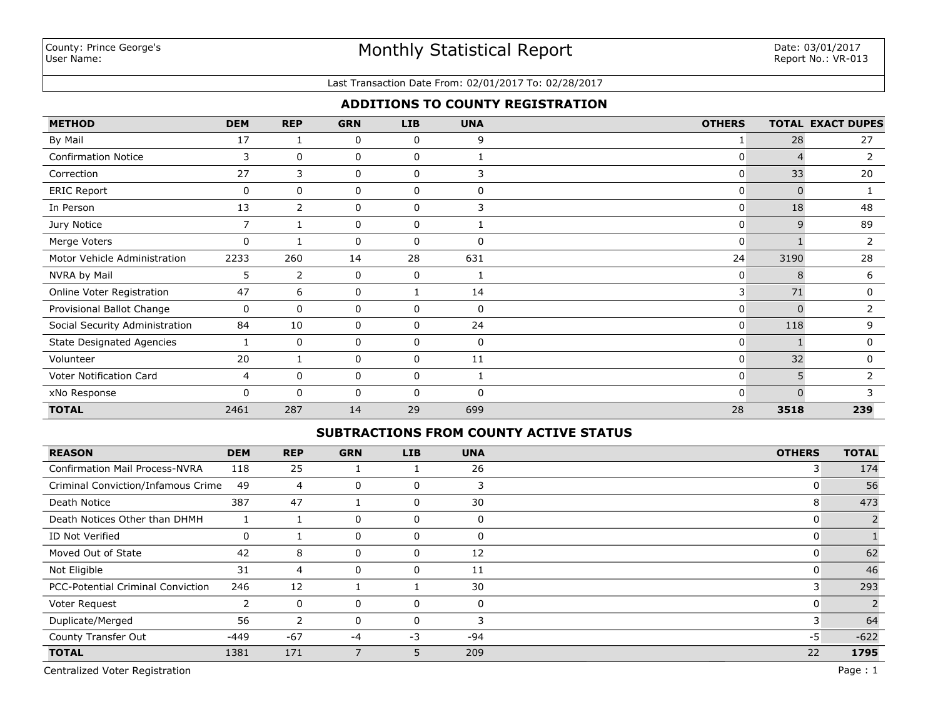### Last Transaction Date From: 02/01/2017 To: 02/28/2017

### **ADDITIONS TO COUNTY REGISTRATION**

| <b>METHOD</b>                    | <b>DEM</b>     | <b>REP</b>     | <b>GRN</b> | <b>LIB</b>   | <b>UNA</b>  | <b>OTHERS</b>  |              | <b>TOTAL EXACT DUPES</b> |
|----------------------------------|----------------|----------------|------------|--------------|-------------|----------------|--------------|--------------------------|
| By Mail                          | 17             |                | 0          | 0            | 9           |                | 28           | 27                       |
| <b>Confirmation Notice</b>       | 3              | 0              | 0          | 0            |             | 0              | $\Delta$     | $\overline{2}$           |
| Correction                       | 27             | 3              | 0          | 0            | 3           | $\overline{0}$ | 33           | 20                       |
| <b>ERIC Report</b>               | 0              | 0              | 0          | 0            | $\Omega$    | $\mathbf{0}$   | $\Omega$     |                          |
| In Person                        | 13             | $\overline{2}$ | 0          | $\mathbf 0$  | 3           | $\overline{0}$ | 18           | 48                       |
| Jury Notice                      | $\overline{7}$ |                | 0          | $\mathbf 0$  |             | $\overline{0}$ | 9            | 89                       |
| Merge Voters                     | 0              |                | 0          | 0            | $\Omega$    | $\overline{0}$ |              | 2                        |
| Motor Vehicle Administration     | 2233           | 260            | 14         | 28           | 631         | 24             | 3190         | 28                       |
| NVRA by Mail                     | 5              | $\overline{2}$ | 0          | 0            |             | $\mathbf{0}$   | 8            | 6                        |
| Online Voter Registration        | 47             | 6              | 0          |              | 14          | 3              | 71           | 0                        |
| Provisional Ballot Change        | 0              | 0              | 0          | 0            | 0           | $\mathbf{0}$   | n            | 2                        |
| Social Security Administration   | 84             | 10             | 0          | 0            | 24          | $\overline{0}$ | 118          | 9                        |
| <b>State Designated Agencies</b> |                | $\mathbf 0$    | 0          | $\mathbf 0$  | $\mathbf 0$ | $\overline{0}$ |              | $\mathbf 0$              |
| Volunteer                        | 20             |                | 0          | 0            | 11          | $\overline{0}$ | 32           | $\mathbf 0$              |
| Voter Notification Card          | 4              | 0              | 0          | $\mathbf 0$  |             | 0              | 5            | 2                        |
| xNo Response                     | 0              | $\Omega$       | 0          | $\mathbf{0}$ | $\Omega$    | $\Omega$       | <sup>0</sup> |                          |
| <b>TOTAL</b>                     | 2461           | 287            | 14         | 29           | 699         | 28             | 3518         | 239                      |

### **SUBTRACTIONS FROM COUNTY ACTIVE STATUS**

| <b>REASON</b>                            | <b>DEM</b> | <b>REP</b> | <b>GRN</b> | <b>LIB</b> | <b>UNA</b> | <b>OTHERS</b> | <b>TOTAL</b> |
|------------------------------------------|------------|------------|------------|------------|------------|---------------|--------------|
| <b>Confirmation Mail Process-NVRA</b>    | 118        | 25         |            |            | 26         | 3             | 174          |
| Criminal Conviction/Infamous Crime       | 49         | 4          | 0          | 0          | 3          |               | 56           |
| Death Notice                             | 387        | 47         |            | 0          | 30         | 8             | 473          |
| Death Notices Other than DHMH            |            |            | 0          | 0          | $\Omega$   | U             |              |
| ID Not Verified                          | 0          |            | 0          | 0          | $\Omega$   | υ             |              |
| Moved Out of State                       | 42         | 8          | 0          | 0          | 12         | υ             | 62           |
| Not Eligible                             | 31         | 4          | 0          | 0          | 11         |               | 46           |
| <b>PCC-Potential Criminal Conviction</b> | 246        | 12         |            |            | 30         | 3             | 293          |
| Voter Request                            | フ          | 0          | 0          | 0          | $\Omega$   | 0             |              |
| Duplicate/Merged                         | 56         | 2          | 0          | $\Omega$   | 3          |               | 64           |
| County Transfer Out                      | $-449$     | $-67$      | $-4$       | $-3$       | -94        | $-5$          | $-622$       |
| <b>TOTAL</b>                             | 1381       | 171        |            | 5          | 209        | 22            | 1795         |

Centralized Voter Registration Page : 1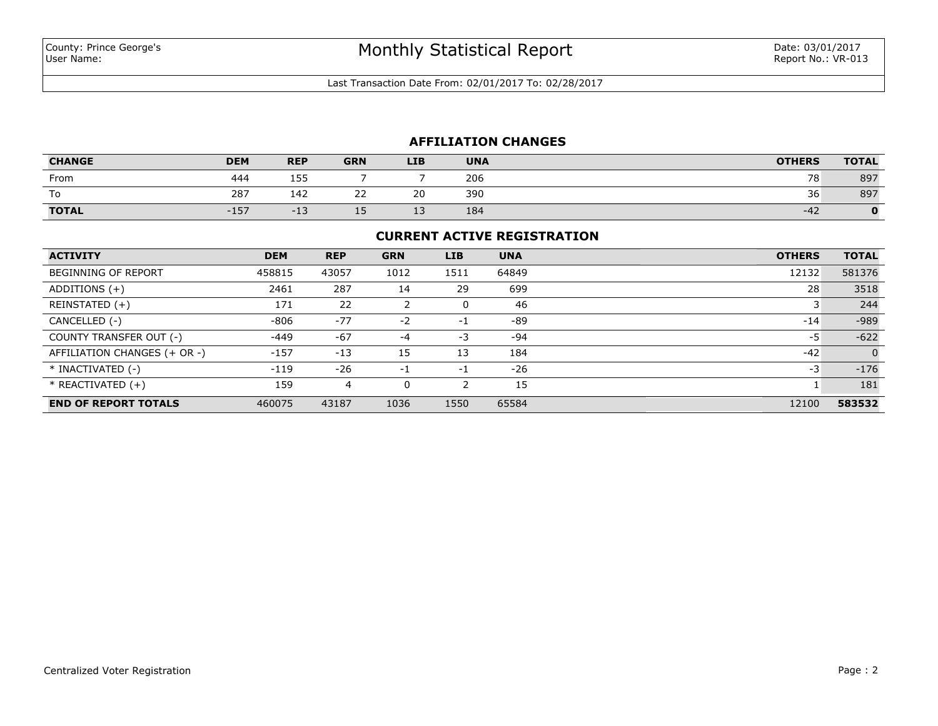Last Transaction Date From: 02/01/2017 To: 02/28/2017

# **AFFILIATION CHANGES**

| <b>CHANGE</b> | <b>DEM</b> | <b>REP</b> | <b>GRN</b> | <b>LIB</b>           | <b>UNA</b> | <b>OTHERS</b> | <b>TOTAL</b> |
|---------------|------------|------------|------------|----------------------|------------|---------------|--------------|
| From          | 444        | 155        |            |                      | 206        | 78            | 897          |
| To            | 287        | 142        | --<br>__   | 20                   | 390        | 36            | 897          |
| <b>TOTAL</b>  | $-157$     | -∸ ~       | --         | $\overline{ }$<br>-- | 184        | $-42$         |              |

### **CURRENT ACTIVE REGISTRATION**

| <b>ACTIVITY</b>              | <b>DEM</b> | <b>REP</b> | <b>GRN</b> | <b>LIB</b> | <b>UNA</b> | <b>OTHERS</b> | <b>TOTAL</b>   |
|------------------------------|------------|------------|------------|------------|------------|---------------|----------------|
| <b>BEGINNING OF REPORT</b>   | 458815     | 43057      | 1012       | 1511       | 64849      | 12132         | 581376         |
| ADDITIONS $(+)$              | 2461       | 287        | 14         | 29         | 699        | 28            | 3518           |
| REINSTATED (+)               | 171        | 22         | 2          |            | 46         |               | 244            |
| CANCELLED (-)                | $-806$     | $-77$      | $-2$       | $-1$       | -89        | $-14$         | $-989$         |
| COUNTY TRANSFER OUT (-)      | -449       | $-67$      | -4         | -3         | -94        | -5            | $-622$         |
| AFFILIATION CHANGES (+ OR -) | $-157$     | $-13$      | 15         | 13         | 184        | $-42$         | $\overline{0}$ |
| * INACTIVATED (-)            | $-119$     | $-26$      | $-1$       | $-1$       | $-26$      | -3            | $-176$         |
| $*$ REACTIVATED $(+)$        | 159        | 4          | 0          |            | 15         |               | 181            |
| <b>END OF REPORT TOTALS</b>  | 460075     | 43187      | 1036       | 1550       | 65584      | 12100         | 583532         |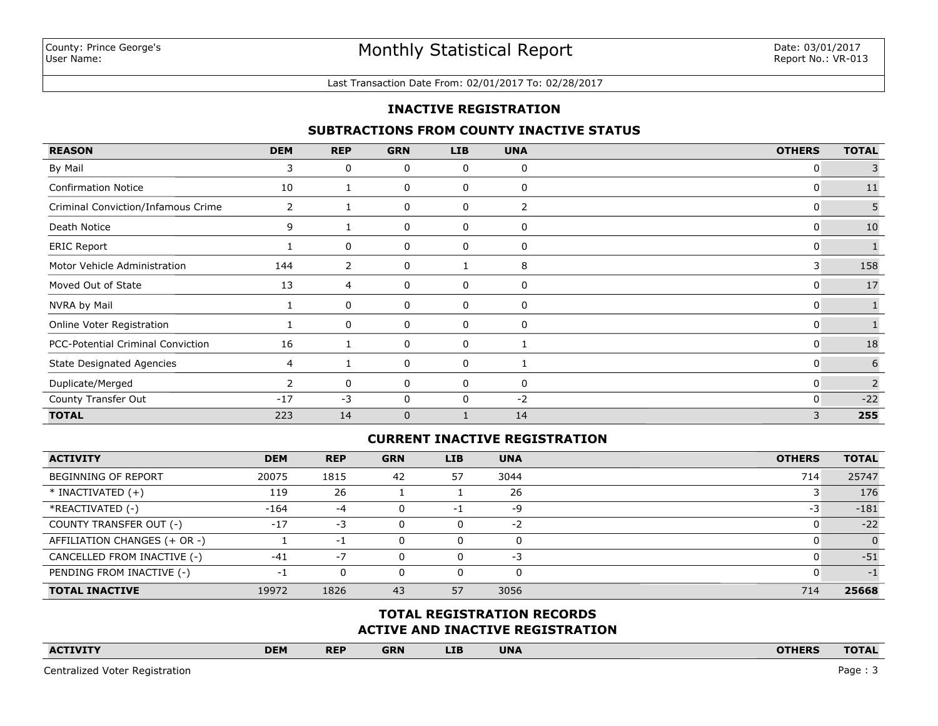#### Last Transaction Date From: 02/01/2017 To: 02/28/2017

### **INACTIVE REGISTRATION**

### **SUBTRACTIONS FROM COUNTY INACTIVE STATUS**

| <b>REASON</b>                      | <b>DEM</b>   | <b>REP</b> | <b>GRN</b>   | <b>LIB</b> | <b>UNA</b> | <b>OTHERS</b> | <b>TOTAL</b> |
|------------------------------------|--------------|------------|--------------|------------|------------|---------------|--------------|
| By Mail                            | 3            | 0          | 0            | 0          | 0          | $\mathbf{0}$  |              |
| <b>Confirmation Notice</b>         | 10           |            | 0            | 0          | 0          | $\mathbf{0}$  | $11\,$       |
| Criminal Conviction/Infamous Crime | $\mathbf{2}$ |            | 0            | 0          | 2          | 0             | 5            |
| Death Notice                       | 9            |            | 0            | 0          | 0          | 0             | 10           |
| <b>ERIC Report</b>                 |              | 0          | 0            | 0          | 0          | 0             |              |
| Motor Vehicle Administration       | 144          | 2          | 0            |            | 8          | 3             | 158          |
| Moved Out of State                 | 13           | 4          | 0            | 0          | 0          | $\mathbf{0}$  | 17           |
| NVRA by Mail                       |              | 0          | 0            | 0          | 0          | $\mathbf{0}$  |              |
| Online Voter Registration          |              | 0          | 0            | 0          | 0          | $\mathbf{0}$  | $\mathbf{1}$ |
| PCC-Potential Criminal Conviction  | 16           |            | 0            | 0          |            | 0             | 18           |
| <b>State Designated Agencies</b>   | 4            |            | 0            | 0          |            | $\mathbf{0}$  | 6            |
| Duplicate/Merged                   |              | 0          | 0            | 0          | 0          | $\mathbf{0}$  | 2            |
| County Transfer Out                | $-17$        | $-3$       | 0            | 0          | $-2$       | $\mathbf{0}$  | $-22$        |
| <b>TOTAL</b>                       | 223          | 14         | $\mathbf{0}$ |            | 14         | 3             | 255          |

### **CURRENT INACTIVE REGISTRATION**

| <b>ACTIVITY</b>              | <b>DEM</b> | <b>REP</b> | <b>GRN</b> | <b>LIB</b> | <b>UNA</b> | <b>OTHERS</b> | <b>TOTAL</b> |
|------------------------------|------------|------------|------------|------------|------------|---------------|--------------|
| <b>BEGINNING OF REPORT</b>   | 20075      | 1815       | 42         | 57         | 3044       | 714           | 25747        |
| $*$ INACTIVATED $(+)$        | 119        | 26         |            |            | 26         |               | 176          |
| *REACTIVATED (-)             | $-164$     | $-4$       |            | -1         | -9         | -3            | $-181$       |
| COUNTY TRANSFER OUT (-)      | $-17$      | $-3$       |            | 0          | $-2$       |               | $-22$        |
| AFFILIATION CHANGES (+ OR -) |            | $-1$       |            | 0          | 0          |               | $\Omega$     |
| CANCELLED FROM INACTIVE (-)  | $-41$      | $-7$       |            | 0          | $-3$       |               | $-51$        |
| PENDING FROM INACTIVE (-)    | i – h      | 0          |            | 0          | 0          |               | -1           |
| <b>TOTAL INACTIVE</b>        | 19972      | 1826       | 43         | 57         | 3056       | 714           | 25668        |

## **ACTIVE AND INACTIVE REGISTRATION TOTAL REGISTRATION RECORDS**

| <b>ACTIVITY</b> | <b>DEM</b> | <b>REP</b> | <b>GRN</b> | <b>LIB</b> | <b>UNA</b> |  | <b>OTHERS</b> | <b>TOTAL</b> |
|-----------------|------------|------------|------------|------------|------------|--|---------------|--------------|
|                 |            |            |            |            |            |  |               |              |

Centralized Voter Registration Page : 3